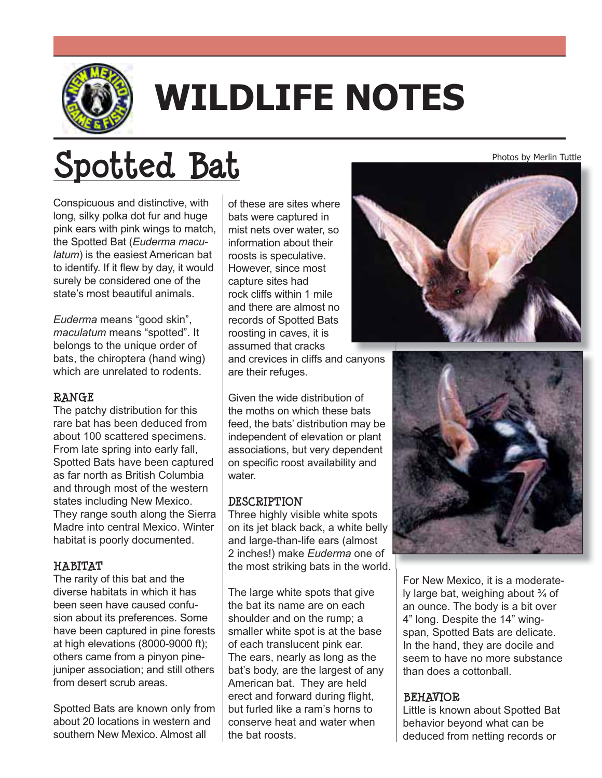

# **WILDLIFE NOTES**

# **Spotted Bat**

Conspicuous and distinctive, with long, silky polka dot fur and huge pink ears with pink wings to match, the Spotted Bat (*Euderma maculatum*) is the easiest American bat to identify. If it flew by day, it would surely be considered one of the state's most beautiful animals.

*Euderma* means "good skin", *maculatum* means "spotted". It belongs to the unique order of bats, the chiroptera (hand wing) which are unrelated to rodents.

#### **RANGE**

The patchy distribution for this rare bat has been deduced from about 100 scattered specimens. From late spring into early fall, Spotted Bats have been captured as far north as British Columbia and through most of the western states including New Mexico. They range south along the Sierra Madre into central Mexico. Winter habitat is poorly documented.

#### **HABITAT**

The rarity of this bat and the diverse habitats in which it has been seen have caused confusion about its preferences. Some have been captured in pine forests at high elevations (8000-9000 ft); others came from a pinyon pinejuniper association; and still others from desert scrub areas.

Spotted Bats are known only from about 20 locations in western and southern New Mexico. Almost all

of these are sites where bats were captured in mist nets over water, so information about their roosts is speculative. However, since most capture sites had rock cliffs within 1 mile and there are almost no records of Spotted Bats roosting in caves, it is assumed that cracks

and crevices in cliffs and canyons are their refuges.

Given the wide distribution of the moths on which these bats feed, the bats' distribution may be independent of elevation or plant associations, but very dependent on specific roost availability and water.

## **DESCRIPTION**

Three highly visible white spots on its jet black back, a white belly and large-than-life ears (almost 2 inches!) make *Euderma* one of the most striking bats in the world.

The large white spots that give the bat its name are on each shoulder and on the rump; a smaller white spot is at the base of each translucent pink ear. The ears, nearly as long as the bat's body, are the largest of any American bat. They are held erect and forward during flight, but furled like a ram's horns to conserve heat and water when the bat roosts.





For New Mexico, it is a moderately large bat, weighing about  $\frac{3}{4}$  of an ounce. The body is a bit over 4" long. Despite the 14" wingspan, Spotted Bats are delicate. In the hand, they are docile and seem to have no more substance than does a cottonball.

## **BEHAVIOR**

Little is known about Spotted Bat behavior beyond what can be deduced from netting records or

Photos by Merlin Tuttle